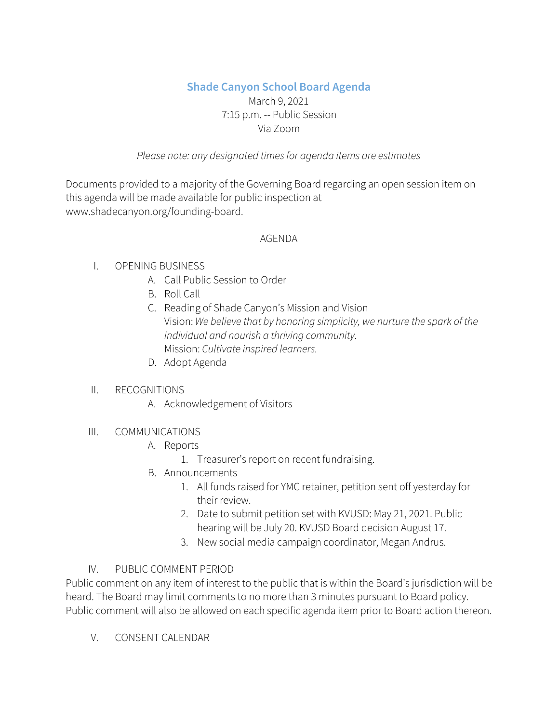# **Shade Canyon School Board Agenda**

# March 9, 2021 7:15 p.m. -- Public Session Via Zoom

## *Please note: any designated timesfor agenda items are estimates*

Documents provided to a majority of the Governing Board regarding an open session item on this agenda will be made available for public inspection at www.shadecanyon.org/founding-board.

#### AGENDA

# I. OPENING BUSINESS

- A. Call Public Session to Order
- B. Roll Call
- C. Reading of Shade Canyon's Mission and Vision Vision: *We believe that by honoring simplicity, we nurture the spark of the individual and nourish a thriving community.* Mission: *Cultivate inspired learners.*
- D. Adopt Agenda

#### II. RECOGNITIONS

- A. Acknowledgement of Visitors
- III. COMMUNICATIONS
	- A. Reports
		- 1. Treasurer's report on recent fundraising.
	- B. Announcements
		- 1. All funds raised for YMC retainer, petition sent off yesterday for their review.
		- 2. Date to submit petition set with KVUSD: May 21, 2021. Public hearing will be July 20. KVUSD Board decision August 17.
		- 3. New social media campaign coordinator, Megan Andrus.

# IV. PUBLIC COMMENT PERIOD

Public comment on any item of interest to the public that is within the Board's jurisdiction will be heard. The Board may limit comments to no more than 3 minutes pursuant to Board policy. Public comment will also be allowed on each specific agenda item prior to Board action thereon.

V. CONSENT CALENDAR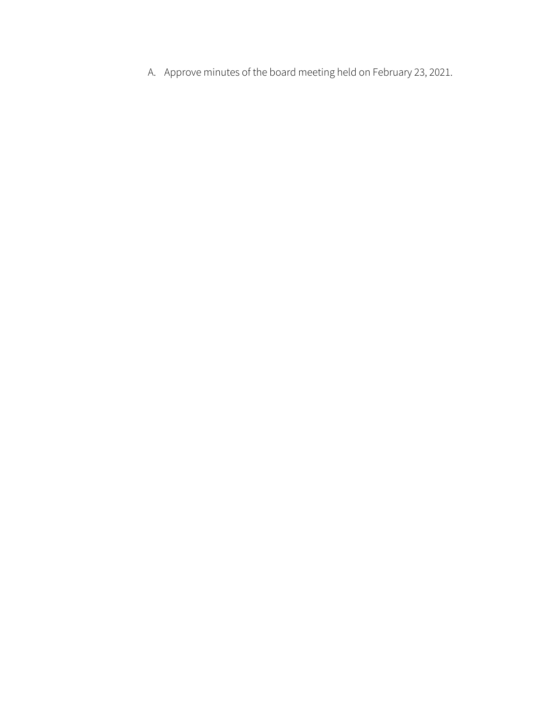A. Approve minutes of the board meeting held on February 23, 2021.